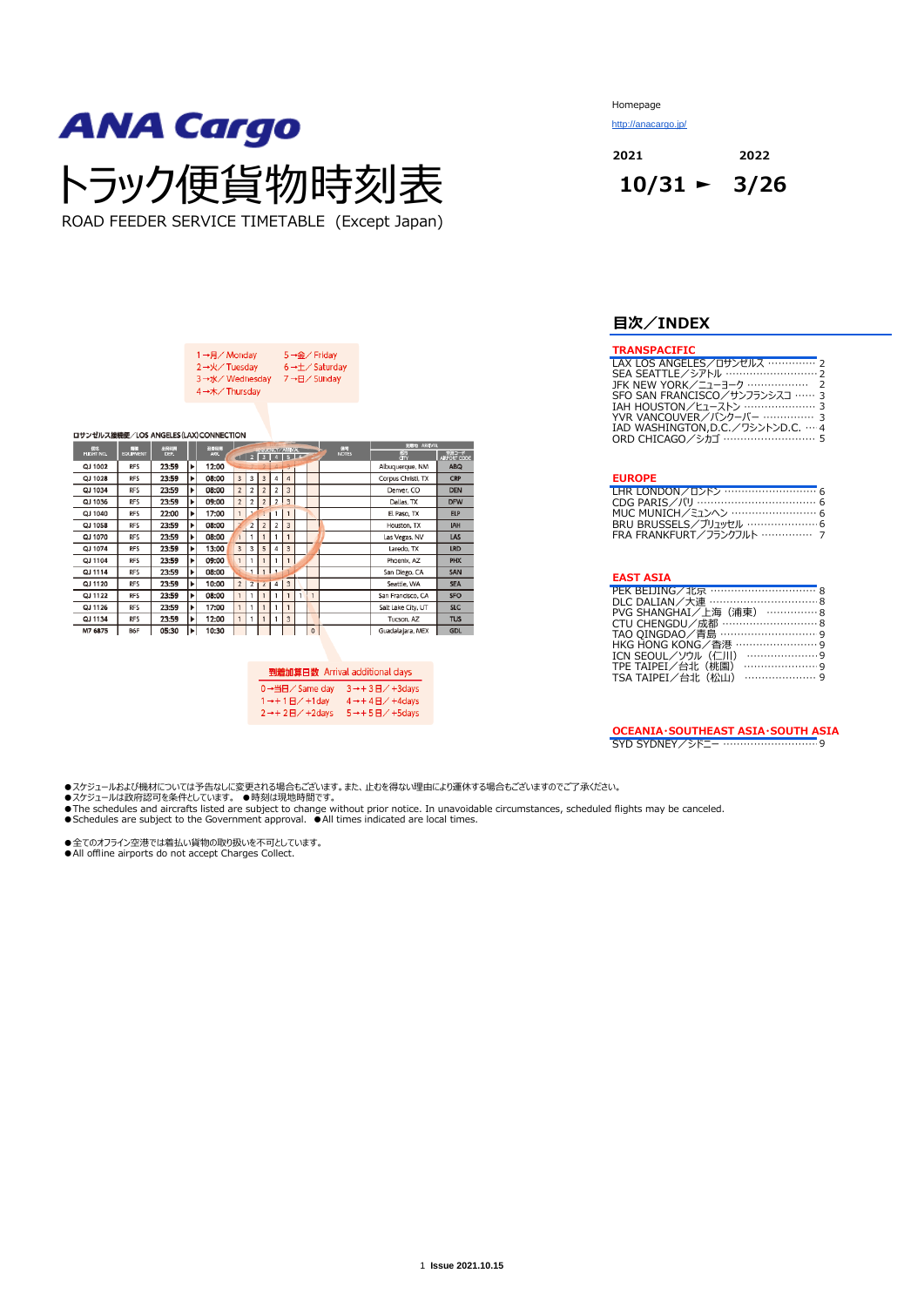ROAD FEEDER SERVICE TIMETABLE (Except Japan)

| 1→月/Monday    | 5→金/Friday                            |
|---------------|---------------------------------------|
| 2→火/Tuesday   | $6 \rightarrow \pm \sqrt{5}$ Saturday |
| 3→水/Wednesday | 7→日/ Sunday                           |
| 4→木/Thursday  |                                       |

| ロサンゼルス接続便/LOS ANGELES (LAX) CONNECTION |                  |       |   |                 |                |                |                         |                                 |                         |   |              |              |                    |                                |
|----------------------------------------|------------------|-------|---|-----------------|----------------|----------------|-------------------------|---------------------------------|-------------------------|---|--------------|--------------|--------------------|--------------------------------|
| <b>ERS</b><br>FUGHT NO.                | 63               | 出発時間  |   | 开始的显            |                |                |                         | <b>AND REAL PROPERTY AND IN</b> |                         |   |              | 63           | <b>WEEK ARMVAL</b> |                                |
|                                        | <b>EQUIPMENT</b> | DEP.  |   | ARR <sub></sub> |                | $-1$ $2$       |                         | 3   4   5   6                   |                         |   |              | <b>NOTES</b> | 靍                  | <del>경고 기</del><br>ARPORT CODE |
| QJ 1002                                | <b>RFS</b>       | 23:59 | ▶ | 12:00           |                |                |                         |                                 |                         |   |              |              | Albuquerque, NM    | <b>ABQ</b>                     |
| QJ 1028                                | <b>RFS</b>       | 23:59 | ▶ | 08:00           | $\overline{3}$ | 3              | $\overline{\mathbf{3}}$ | 4                               | 4                       |   |              |              | Corpus Christi, TX | <b>CRP</b>                     |
| QJ 1034                                | <b>RFS</b>       | 23:59 | ٠ | 08:00           | $\overline{2}$ | 2              | $\overline{2}$          | $\overline{2}$                  | 3                       |   |              |              | Denver, CO         | <b>DEN</b>                     |
| QJ 1036                                | <b>RFS</b>       | 23:59 | ▶ | 09:00           | $\overline{2}$ | $\overline{a}$ | $\overline{2}$          | $\overline{2}$                  | $\overline{3}$          |   |              |              | Dallas, TX         | <b>DFW</b>                     |
| QJ 1040                                | <b>RFS</b>       | 22:00 | ▶ | 17:00           |                |                |                         |                                 | $\mathbf{1}$            |   |              |              | El Paso, TX        | <b>ELP</b>                     |
| QJ 1058                                | <b>RFS</b>       | 23:59 | ▶ | 08:00           |                | $\overline{2}$ | $\overline{2}$          | $\overline{2}$                  | 3                       |   |              |              | Houston, TX        | <b>IAH</b>                     |
| QJ 1070                                | <b>RFS</b>       | 23:59 | ▶ | 08:00           |                |                |                         |                                 |                         |   |              |              | Las Vegas, NV      | LAS                            |
| QJ 1074                                | <b>RFS</b>       | 23:59 | , | 13:00           | $\overline{3}$ | 3              | 5                       | 4                               | 3                       |   |              |              | Laredo, TX         | <b>LRD</b>                     |
| QJ 1104                                | <b>RFS</b>       | 23:59 | ▶ | 09:00           | $\mathbf{1}$   |                |                         |                                 |                         |   |              |              | Phoenix, AZ        | <b>PHX</b>                     |
| QJ 1114                                | <b>RFS</b>       | 23:59 | ▶ | 08:00           |                |                |                         |                                 |                         |   |              |              | San Diego, CA      | SAN                            |
| QJ 1120                                | <b>RFS</b>       | 23:59 | ▶ | 10:00           | $\overline{2}$ | 2 <sub>1</sub> | $\mathbf{z}$            | $\overline{4}$                  | $\overline{\mathbf{3}}$ |   |              |              | Seattle, WA        | <b>SEA</b>                     |
| QJ 1122                                | <b>RFS</b>       | 23:59 | ٠ | 08:00           | $\mathbf{1}$   |                |                         | 1                               | $\overline{1}$          | 1 | 1            |              | San Francisco, CA  | <b>SFO</b>                     |
| QJ 1126                                | <b>RFS</b>       | 23:59 | ▶ | 17:00           | $\mathbf{1}$   |                |                         | -1                              | $\mathbf{1}$            |   |              |              | Salt Lake City, UT | <b>SLC</b>                     |
| QJ 1134                                | <b>RFS</b>       | 23:59 | ٠ | 12:00           | 1              | 1              |                         | 1                               | $\overline{3}$          |   |              |              | Tucson, AZ         | <b>TUS</b>                     |
| M7 6875                                | B6F              | 05:30 | ٠ | 10:30           |                |                |                         |                                 |                         |   | $\mathbf{0}$ |              | Guadalajara, MEX   | <b>GDL</b>                     |

|                                    | 到着加算日数 Arrival additional days   |
|------------------------------------|----------------------------------|
| 0→当日/ Same day                     | $3 \rightarrow + 3H / + 3$ days  |
| $1 \rightarrow + 1$ $H$ / +1 day   | $4 \rightarrow + 4$ $H$ / +4days |
| $2 \rightarrow +2 \text{H}$ +2days | $5 \rightarrow + 5 + 5 + 5$ days |

Homepage

<http://anacargo.jp/>

**2021 2022**

## **目次/INDEX**

#### **TRANSPACIFIC**

| LAX LOS ANGELES/ロサンゼルス …………… 2     |  |
|------------------------------------|--|
| SEA SEATTLE/シアトル ………………………… 2      |  |
|                                    |  |
| SFO SAN FRANCISCO/サンフランシスコ …… 3    |  |
| IAH HOUSTON/ヒューストン …………………… 3      |  |
| YVR VANCOUVER/バンクーバー …………… 3       |  |
| IAD WASHINGTON.D.C. /ワシントンD.C. … 4 |  |
| ORD CHICAGO/シカゴ ……………………… 5        |  |
|                                    |  |

#### **EUROPE**

| LHR LONDON/ ロンドン ……………………… 6    |  |
|---------------------------------|--|
| CDG PARIS/パリ ………………………………… 6    |  |
| MUC MUNICH/ミュンヘン …………………… 6     |  |
| BRU BRUSSELS/ブリュッセル ………………… 6   |  |
| FRA FRANKFURT / フランクフルト …………… 7 |  |

#### **EAST ASIA**

| PEK BEIJING/北京 …………………………… 8 |
|------------------------------|
| DLC DALIAN/大連 ………………………… 8   |
| PVG SHANGHAI/上海 (浦東) ……………8  |
| CTU CHENGDU/成都 ……………………… 8   |
| TAO OINGDAO/青島 ……………………… 9   |
| HKG HONG KONG/香港 …………………… 9  |
| ICN SEOUL/ソウル (仁川)           |
| TPE TAIPEI/台北(桃園)            |
| TSA TAIPEI/台北 (松山)           |

**OCEANIA・SOUTHEAST ASIA・SOUTH ASIA** SYD SYDNEY/シドニー …………………………9

- 
- ●スケジュールおよび機材については予告なしに変更される場合もございます。また、止むを得ない理由により運休する場合もございますのでご了承ください。<br>●スケジュールは政府認可を条件としています。 ●時刻は現地時間です。<br>●The schedules and aircrafts listed are subject to change without prior notice. In unavoidable circumstances, s

●全てのオフライン空港では着払い貨物の取り扱いを不可としています。<br>●All offline airports do not accept Charges Collect.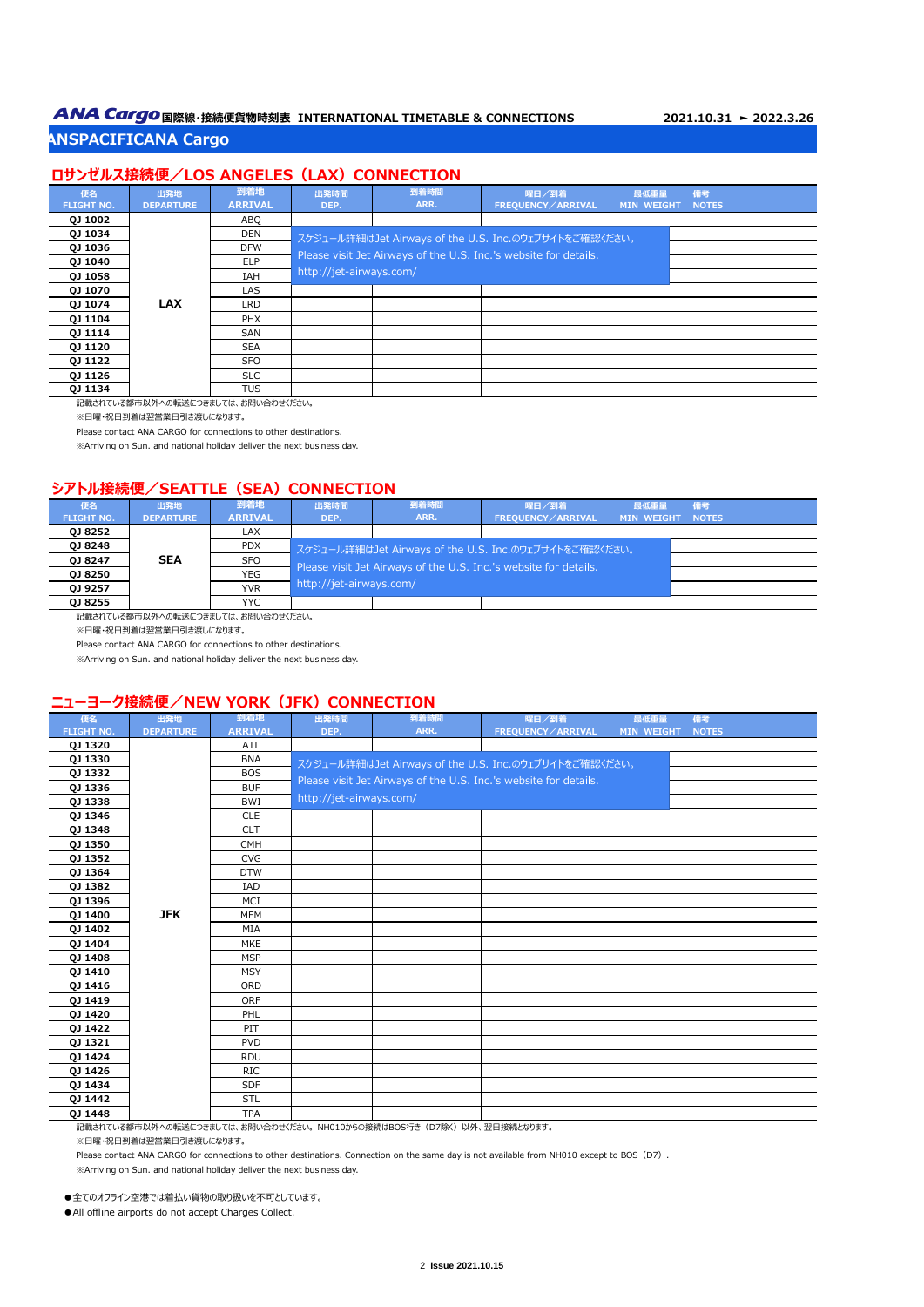# **ANA Cargo** 国際線·接続便貨物時刻表 INTERNATIONAL TIMETABLE & CONNECTIONS 2021.10.31 ► 2022.3.26

## **ANSPACIFICANA Cargo**

## **ロサンゼルス接続便/LOS ANGELES (LAX) CONNECTION**

| 便名                | 出発地              | 到着地            | 出発時間                    | 到着時間 | 曜日/到着                                                            | 最低重量              | 備考           |
|-------------------|------------------|----------------|-------------------------|------|------------------------------------------------------------------|-------------------|--------------|
| <b>FLIGHT NO.</b> | <b>DEPARTURE</b> | <b>ARRIVAL</b> | DEP.                    | ARR. | <b>FREQUENCY / ARRIVAL</b>                                       | <b>MIN WEIGHT</b> | <b>NOTES</b> |
| <b>QJ 1002</b>    |                  | ABO            |                         |      |                                                                  |                   |              |
| QJ 1034           |                  | <b>DEN</b>     |                         |      | スケジュール詳細はJet Airways of the U.S. Inc.のウェブサイトをご確認ください。            |                   |              |
| <b>QJ 1036</b>    |                  | <b>DFW</b>     |                         |      | Please visit Jet Airways of the U.S. Inc.'s website for details. |                   |              |
| <b>QJ 1040</b>    |                  | <b>ELP</b>     |                         |      |                                                                  |                   |              |
| <b>QJ 1058</b>    |                  | IAH            | http://jet-airways.com/ |      |                                                                  |                   |              |
| <b>QJ 1070</b>    |                  | LAS            |                         |      |                                                                  |                   |              |
| QJ 1074           | <b>LAX</b>       | <b>LRD</b>     |                         |      |                                                                  |                   |              |
| <b>QJ 1104</b>    |                  | <b>PHX</b>     |                         |      |                                                                  |                   |              |
| <b>QJ 1114</b>    |                  | SAN            |                         |      |                                                                  |                   |              |
| <b>QJ 1120</b>    |                  | <b>SEA</b>     |                         |      |                                                                  |                   |              |
| <b>QJ 1122</b>    |                  | SFO            |                         |      |                                                                  |                   |              |
| <b>QJ 1126</b>    |                  | <b>SLC</b>     |                         |      |                                                                  |                   |              |
| 0J 1134           |                  | TUS            |                         |      |                                                                  |                   |              |

記載されている都市以外への転送につきましては、お問い合わせください。

※日曜・祝日到着は翌営業日引き渡しになります。

Please contact ANA CARGO for connections to other destinations.

※Arriving on Sun. and national holiday deliver the next business day.

#### **シアトル接続便/SEATTLE (SEA) CONNECTION**

| 便名<br><b>FLIGHT NO.</b> | 出発地<br><b>DEPARTURE</b>                                                                                                                                                                                                                                                                                                                                                                                                                                                                                          | 到着地<br><b>ARRIVAL</b> | 出発時間<br>DEP.            | 到着時間<br>ARR.                                                     | 曜日/到着<br>FREOUENCY / ARRIVAL                          | 最低重量<br><b>MIN WEIGHT</b> |  | <b>NOTES</b> |  |  |
|-------------------------|------------------------------------------------------------------------------------------------------------------------------------------------------------------------------------------------------------------------------------------------------------------------------------------------------------------------------------------------------------------------------------------------------------------------------------------------------------------------------------------------------------------|-----------------------|-------------------------|------------------------------------------------------------------|-------------------------------------------------------|---------------------------|--|--------------|--|--|
| 0J 8252                 |                                                                                                                                                                                                                                                                                                                                                                                                                                                                                                                  | LAX                   |                         |                                                                  |                                                       |                           |  |              |  |  |
| QJ 8248                 |                                                                                                                                                                                                                                                                                                                                                                                                                                                                                                                  | <b>PDX</b>            |                         |                                                                  | スケジュール詳細はJet Airways of the U.S. Inc.のウェブサイトをご確認ください。 |                           |  |              |  |  |
| QJ 8247                 | <b>SEA</b>                                                                                                                                                                                                                                                                                                                                                                                                                                                                                                       | <b>SFO</b>            |                         | Please visit Jet Airways of the U.S. Inc.'s website for details. |                                                       |                           |  |              |  |  |
| <b>QJ 8250</b>          |                                                                                                                                                                                                                                                                                                                                                                                                                                                                                                                  | <b>YEG</b>            |                         |                                                                  |                                                       |                           |  |              |  |  |
| QJ 9257                 |                                                                                                                                                                                                                                                                                                                                                                                                                                                                                                                  | <b>YVR</b>            | http://jet-airways.com/ |                                                                  |                                                       |                           |  |              |  |  |
| 0J 8255                 |                                                                                                                                                                                                                                                                                                                                                                                                                                                                                                                  | YYC.                  |                         |                                                                  |                                                       |                           |  |              |  |  |
|                         | $\mathcal{L} = \{ \mathcal{L} \mid \mathcal{L} \text{ and } \mathcal{L} \text{ and } \mathcal{L} \text{ and } \mathcal{L} \text{ and } \mathcal{L} \text{ and } \mathcal{L} \text{ and } \mathcal{L} \text{ and } \mathcal{L} \text{ and } \mathcal{L} \text{ and } \mathcal{L} \text{ and } \mathcal{L} \text{ and } \mathcal{L} \text{ and } \mathcal{L} \text{ and } \mathcal{L} \text{ and } \mathcal{L} \text{ and } \mathcal{L} \text{ and } \mathcal{L} \text{ and } \mathcal{L} \text{ and } \mathcal{L$ |                       |                         |                                                                  |                                                       |                           |  |              |  |  |

記載されている都市以外への転送につきましては、お問い合わせください。

※日曜・祝日到着は翌営業日引き渡しになります。

Please contact ANA CARGO for connections to other destinations.

※Arriving on Sun. and national holiday deliver the next business day.

#### **ニューヨーク接続便/NEW YORK (JFK) CONNECTION**

| 便名                | 出発地              | 到着地            | 出発時間                    | 到着時間 | 曜日/到着                                                            | 最低重量              | 備考           |
|-------------------|------------------|----------------|-------------------------|------|------------------------------------------------------------------|-------------------|--------------|
| <b>FLIGHT NO.</b> | <b>DEPARTURE</b> | <b>ARRIVAL</b> | DEP.                    | ARR. | FREQUENCY / ARRIVAL                                              | <b>MIN WEIGHT</b> | <b>NOTES</b> |
| <b>QJ 1320</b>    |                  | ATL            |                         |      |                                                                  |                   |              |
| <b>QJ 1330</b>    |                  | <b>BNA</b>     |                         |      | スケジュール詳細はJet Airways of the U.S. Inc.のウェブサイトをご確認ください。            |                   |              |
| 0J 1332           |                  | <b>BOS</b>     |                         |      | Please visit Jet Airways of the U.S. Inc.'s website for details. |                   |              |
| QJ 1336           |                  | <b>BUF</b>     |                         |      |                                                                  |                   |              |
| QJ 1338           |                  | BWI            | http://jet-airways.com/ |      |                                                                  |                   |              |
| <b>QJ 1346</b>    |                  | <b>CLE</b>     |                         |      |                                                                  |                   |              |
| QJ 1348           |                  | <b>CLT</b>     |                         |      |                                                                  |                   |              |
| QJ 1350           |                  | <b>CMH</b>     |                         |      |                                                                  |                   |              |
| QJ 1352           |                  | <b>CVG</b>     |                         |      |                                                                  |                   |              |
| <b>QJ 1364</b>    |                  | <b>DTW</b>     |                         |      |                                                                  |                   |              |
| QJ 1382           |                  | IAD            |                         |      |                                                                  |                   |              |
| <b>QJ 1396</b>    |                  | MCI            |                         |      |                                                                  |                   |              |
| QJ 1400           | <b>JFK</b>       | <b>MEM</b>     |                         |      |                                                                  |                   |              |
| <b>QJ 1402</b>    |                  | MIA            |                         |      |                                                                  |                   |              |
| <b>QJ 1404</b>    |                  | <b>MKE</b>     |                         |      |                                                                  |                   |              |
| QJ 1408           |                  | <b>MSP</b>     |                         |      |                                                                  |                   |              |
| <b>QJ 1410</b>    |                  | <b>MSY</b>     |                         |      |                                                                  |                   |              |
| QJ 1416           |                  | <b>ORD</b>     |                         |      |                                                                  |                   |              |
| QJ 1419           |                  | ORF            |                         |      |                                                                  |                   |              |
| QJ 1420           |                  | PHL            |                         |      |                                                                  |                   |              |
| QJ 1422           |                  | PIT            |                         |      |                                                                  |                   |              |
| QJ 1321           |                  | <b>PVD</b>     |                         |      |                                                                  |                   |              |
| QJ 1424           |                  | <b>RDU</b>     |                         |      |                                                                  |                   |              |
| <b>QJ 1426</b>    |                  | <b>RIC</b>     |                         |      |                                                                  |                   |              |
| QJ 1434           |                  | <b>SDF</b>     |                         |      |                                                                  |                   |              |
| QJ 1442           |                  | <b>STL</b>     |                         |      |                                                                  |                   |              |
| <b>QJ 1448</b>    |                  | <b>TPA</b>     |                         |      |                                                                  |                   |              |

記載されている都市以外への転送につきましては、お問い合わせください。 NH010からの接続はBOS行き (D7除く) 以外、翌日接続となります。

※日曜・祝日到着は翌営業日引き渡しになります。

Please contact ANA CARGO for connections to other destinations. Connection on the same day is not available from NH010 except to BOS (D7).

※Arriving on Sun. and national holiday deliver the next business day.

●全てのオフライン空港では着払い貨物の取り扱いを不可としています。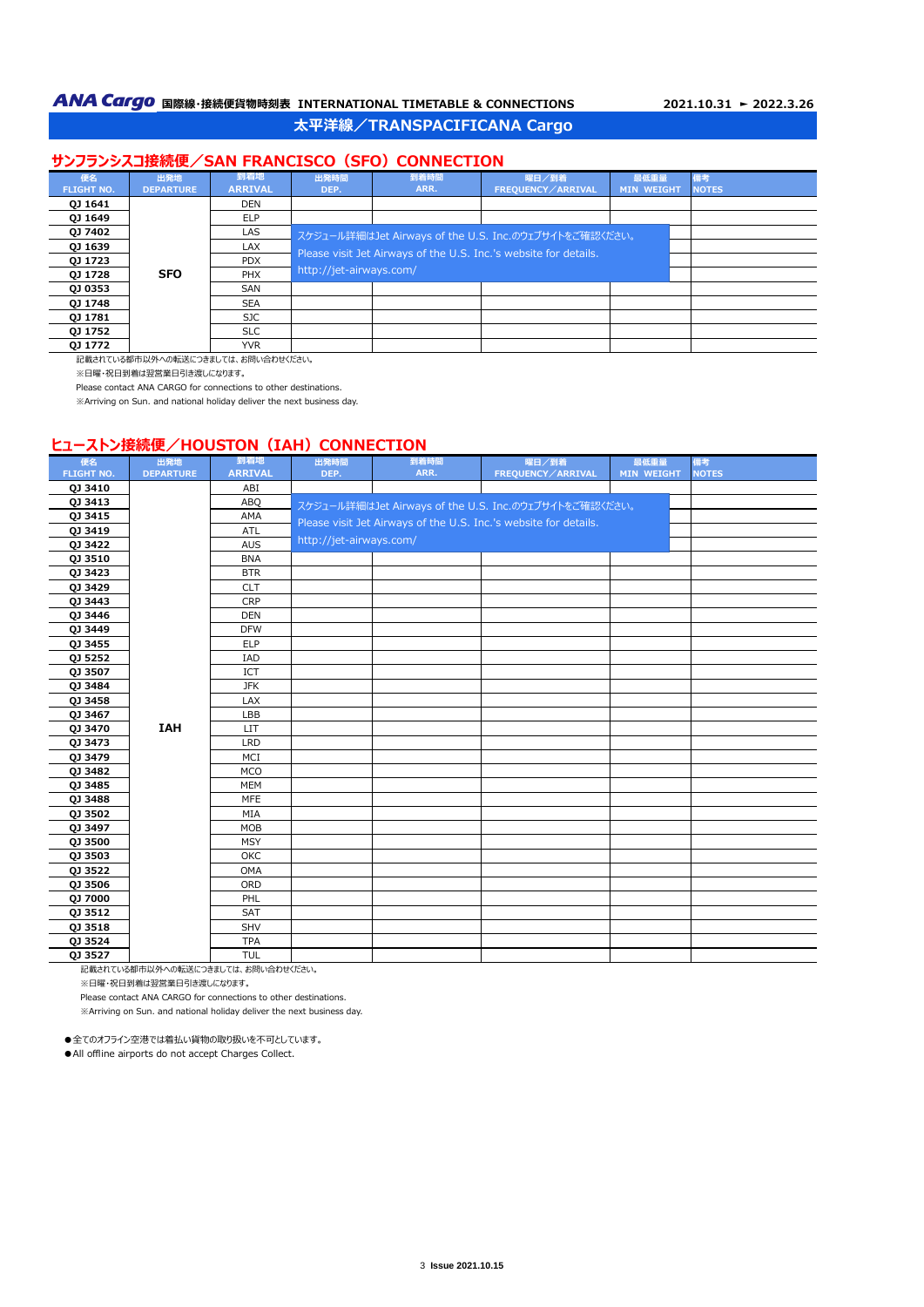## **太平洋線/TRANSPACIFICANA Cargo**

## **サンフランシスコ接続便/SAN FRANCISCO (SFO) CONNECTION**

| 便名                | 出発地              | 到着地            | 出発時間                    | 到着時間 | 曜日/到着                                                            | 最低重量              | 備考           |
|-------------------|------------------|----------------|-------------------------|------|------------------------------------------------------------------|-------------------|--------------|
| <b>FLIGHT NO.</b> | <b>DEPARTURE</b> | <b>ARRIVAL</b> | DEP.                    | ARR. | FREOUENCY / ARRIVAL                                              | <b>MIN WEIGHT</b> | <b>NOTES</b> |
| QJ 1641           |                  | DEN            |                         |      |                                                                  |                   |              |
| QJ 1649           |                  | <b>ELP</b>     |                         |      |                                                                  |                   |              |
| QJ 7402           |                  | LAS            |                         |      | スケジュール詳細はJet Airways of the U.S. Inc.のウェブサイトをご確認ください。            |                   |              |
| QJ 1639           |                  | <b>LAX</b>     |                         |      | Please visit Jet Airways of the U.S. Inc.'s website for details. |                   |              |
| QJ 1723           |                  | <b>PDX</b>     |                         |      |                                                                  |                   |              |
| QJ 1728           | <b>SFO</b>       | <b>PHX</b>     | http://jet-airways.com/ |      |                                                                  |                   |              |
| <b>QJ 0353</b>    |                  | SAN            |                         |      |                                                                  |                   |              |
| 0J 1748           |                  | <b>SEA</b>     |                         |      |                                                                  |                   |              |
| 0J 1781           |                  | SJC.           |                         |      |                                                                  |                   |              |
| QJ 1752           |                  | <b>SLC</b>     |                         |      |                                                                  |                   |              |
| 0J 1772           |                  | <b>YVR</b>     |                         |      |                                                                  |                   |              |

記載されている都市以外への転送につきましては、お問い合わせください。

※日曜・祝日到着は翌営業日引き渡しになります。

Please contact ANA CARGO for connections to other destinations.

※Arriving on Sun. and national holiday deliver the next business day.

#### **ヒューストン接続便/HOUSTON (IAH) CONNECTION**

| 便名                | 出発地              | 到着地            | 出発時間                    | 到着時間                                                             | 曜日/到着             | 最低重量       | 備考           |
|-------------------|------------------|----------------|-------------------------|------------------------------------------------------------------|-------------------|------------|--------------|
| <b>FLIGHT NO.</b> | <b>DEPARTURE</b> | <b>ARRIVAL</b> | DEP.                    | ARR.                                                             | FREQUENCY/ARRIVAL | MIN WEIGHT | <b>NOTES</b> |
| QJ 3410           |                  | ABI            |                         |                                                                  |                   |            |              |
| QJ 3413           |                  | ABQ            |                         | スケジュール詳細はJet Airways of the U.S. Inc.のウェブサイトをご確認ください。            |                   |            |              |
| QJ 3415           |                  | AMA            |                         | Please visit Jet Airways of the U.S. Inc.'s website for details. |                   |            |              |
| QJ 3419           |                  | ATL            |                         |                                                                  |                   |            |              |
| QJ 3422           |                  | <b>AUS</b>     | http://jet-airways.com/ |                                                                  |                   |            |              |
| QJ 3510           |                  | <b>BNA</b>     |                         |                                                                  |                   |            |              |
| QJ 3423           |                  | <b>BTR</b>     |                         |                                                                  |                   |            |              |
| QJ 3429           |                  | <b>CLT</b>     |                         |                                                                  |                   |            |              |
| QJ 3443           |                  | <b>CRP</b>     |                         |                                                                  |                   |            |              |
| QJ 3446           |                  | <b>DEN</b>     |                         |                                                                  |                   |            |              |
| <b>QJ 3449</b>    |                  | <b>DFW</b>     |                         |                                                                  |                   |            |              |
| QJ 3455           |                  | <b>ELP</b>     |                         |                                                                  |                   |            |              |
| QJ 5252           |                  | <b>IAD</b>     |                         |                                                                  |                   |            |              |
| QJ 3507           |                  | <b>ICT</b>     |                         |                                                                  |                   |            |              |
| QJ 3484           |                  | <b>JFK</b>     |                         |                                                                  |                   |            |              |
| QJ 3458           |                  | LAX            |                         |                                                                  |                   |            |              |
| QJ 3467           |                  | LBB            |                         |                                                                  |                   |            |              |
| QJ 3470           | <b>IAH</b>       | <b>LIT</b>     |                         |                                                                  |                   |            |              |
| QJ 3473           |                  | <b>LRD</b>     |                         |                                                                  |                   |            |              |
| QJ 3479           |                  | MCI            |                         |                                                                  |                   |            |              |
| QJ 3482           |                  | <b>MCO</b>     |                         |                                                                  |                   |            |              |
| QJ 3485           |                  | <b>MEM</b>     |                         |                                                                  |                   |            |              |
| QJ 3488           |                  | MFE            |                         |                                                                  |                   |            |              |
| QJ 3502           |                  | MIA            |                         |                                                                  |                   |            |              |
| QJ 3497           |                  | <b>MOB</b>     |                         |                                                                  |                   |            |              |
| QJ 3500           |                  | <b>MSY</b>     |                         |                                                                  |                   |            |              |
| QJ 3503           |                  | OKC            |                         |                                                                  |                   |            |              |
| QJ 3522           |                  | <b>OMA</b>     |                         |                                                                  |                   |            |              |
| QJ 3506           |                  | ORD            |                         |                                                                  |                   |            |              |
| QJ 7000           |                  | PHL            |                         |                                                                  |                   |            |              |
| QJ 3512           |                  | <b>SAT</b>     |                         |                                                                  |                   |            |              |
| QJ 3518           |                  | SHV            |                         |                                                                  |                   |            |              |
| QJ 3524           |                  | <b>TPA</b>     |                         |                                                                  |                   |            |              |
| QJ 3527           |                  | <b>TUL</b>     |                         |                                                                  |                   |            |              |

記載されている都市以外への転送につきましては、お問い合わせください。 ※日曜・祝日到着は翌営業日引き渡しになります。

Please contact ANA CARGO for connections to other destinations.

※Arriving on Sun. and national holiday deliver the next business day.

●全てのオフライン空港では着払い貨物の取り扱いを不可としています。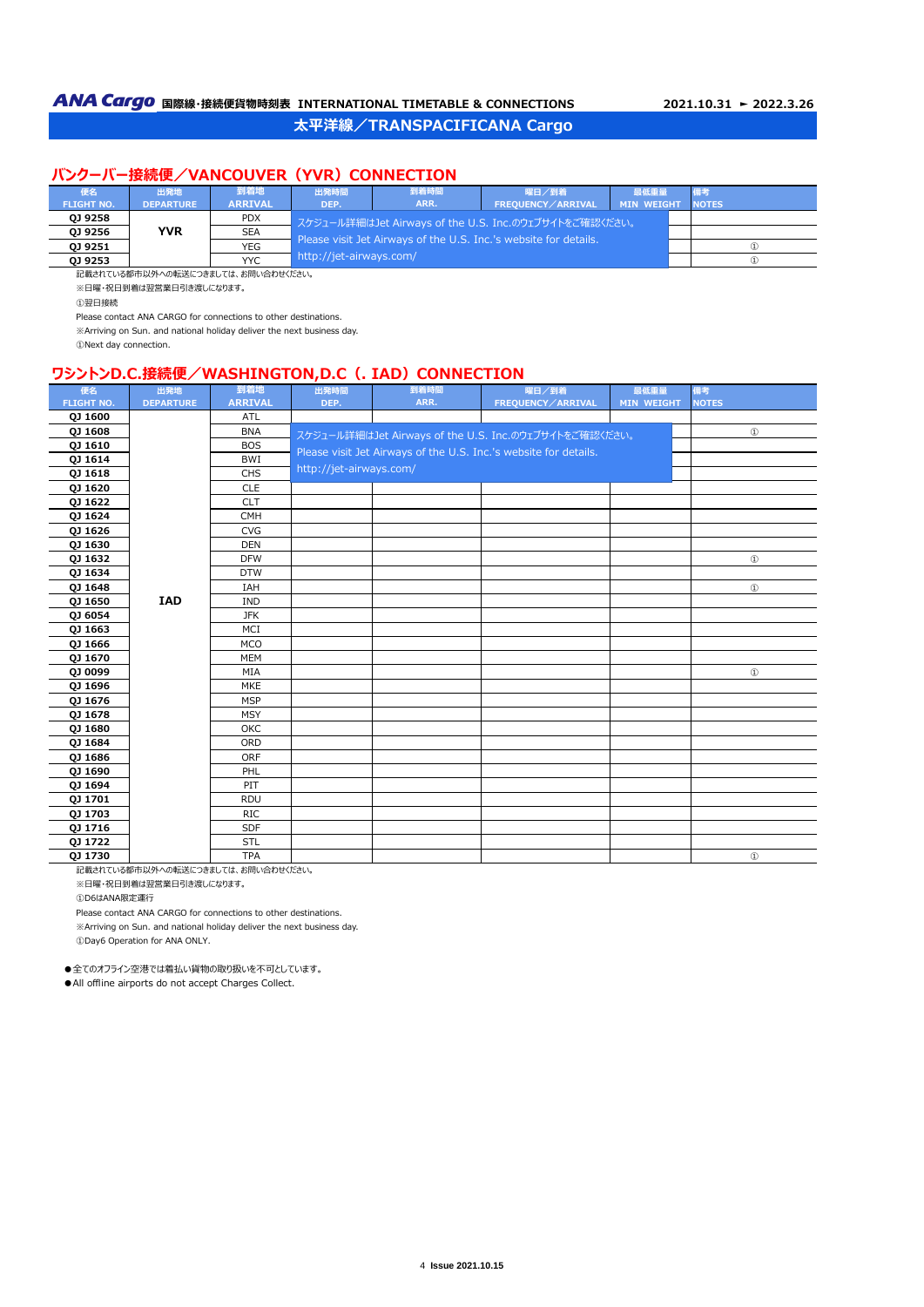## **バンクーバー接続便/VANCOUVER (YVR) CONNECTION**

| 便名                | 出発地              | 到着地            | 出発時間                    | 到着時間                                                             | 曜日/到着                                                    | 最低重量              |              |
|-------------------|------------------|----------------|-------------------------|------------------------------------------------------------------|----------------------------------------------------------|-------------------|--------------|
| <b>FLIGHT NO.</b> | <b>DEPARTURE</b> | <b>ARRIVAL</b> | DEP.                    | ARR.                                                             | FREOUENCY/ARRIVAL                                        | <b>MIN WEIGHT</b> | <b>NOTES</b> |
| 0J 9258           |                  | <b>PDX</b>     |                         |                                                                  | ι スケジュール詳細はJet Airways of the U.S. Inc.のウェブサイトをご確認ください。' |                   |              |
| 0J 9256           | <b>YVR</b>       | <b>SEA</b>     |                         | Please visit Jet Airways of the U.S. Inc.'s website for details. |                                                          |                   |              |
| 0J 9251           |                  | <b>YEG</b>     |                         |                                                                  | $\left( 1 \right)$                                       |                   |              |
| 0J 9253           |                  | <b>YYC</b>     | http://jet-airways.com/ |                                                                  |                                                          | $\omega$          |              |

記載されている都市以外への転送につきましては、お問い合わせください。 ※日曜・祝日到着は翌営業日引き渡しになります。

①翌日接続

Please contact ANA CARGO for connections to other destinations.

※Arriving on Sun. and national holiday deliver the next business day.

①Next day connection.

# **ワシントンD.C.接続便/WASHINGTON,D.C (. IAD) CONNECTION**

| 便名                | 出発地              | 到着地            | 出発時間                    | 到着時間 | 曜日/到着                                                            | 最低重量              | 備考            |
|-------------------|------------------|----------------|-------------------------|------|------------------------------------------------------------------|-------------------|---------------|
| <b>FLIGHT NO.</b> | <b>DEPARTURE</b> | <b>ARRIVAL</b> | DEP.                    | ARR. | FREQUENCY/ARRIVAL                                                | <b>MIN WEIGHT</b> | <b>NOTES</b>  |
| QJ 1600           |                  | ATL            |                         |      |                                                                  |                   |               |
| QJ 1608           |                  | <b>BNA</b>     |                         |      | スケジュール詳細はJet Airways of the U.S. Inc.のウェブサイトをご確認ください。            |                   | $^{\circ}$    |
| QJ 1610           |                  | <b>BOS</b>     |                         |      | Please visit Jet Airways of the U.S. Inc.'s website for details. |                   |               |
| QJ 1614           |                  | <b>BWI</b>     |                         |      |                                                                  |                   |               |
| QJ 1618           |                  | CHS            | http://jet-airways.com/ |      |                                                                  |                   |               |
| QJ 1620           |                  | <b>CLE</b>     |                         |      |                                                                  |                   |               |
| <b>QJ 1622</b>    |                  | <b>CLT</b>     |                         |      |                                                                  |                   |               |
| QJ 1624           |                  | <b>CMH</b>     |                         |      |                                                                  |                   |               |
| QJ 1626           |                  | <b>CVG</b>     |                         |      |                                                                  |                   |               |
| QJ 1630           |                  | <b>DEN</b>     |                         |      |                                                                  |                   |               |
| QJ 1632           |                  | <b>DFW</b>     |                         |      |                                                                  |                   | $^{\circ}$    |
| QJ 1634           |                  | <b>DTW</b>     |                         |      |                                                                  |                   |               |
| QJ 1648           |                  | IAH            |                         |      |                                                                  |                   | $\circled{1}$ |
| QJ 1650           | <b>IAD</b>       | <b>IND</b>     |                         |      |                                                                  |                   |               |
| QJ 6054           |                  | <b>JFK</b>     |                         |      |                                                                  |                   |               |
| QJ 1663           |                  | MCI            |                         |      |                                                                  |                   |               |
| QJ 1666           |                  | <b>MCO</b>     |                         |      |                                                                  |                   |               |
| QJ 1670           |                  | <b>MEM</b>     |                         |      |                                                                  |                   |               |
| QJ 0099           |                  | MIA            |                         |      |                                                                  |                   | $^{\circ}$    |
| QJ 1696           |                  | <b>MKE</b>     |                         |      |                                                                  |                   |               |
| QJ 1676           |                  | <b>MSP</b>     |                         |      |                                                                  |                   |               |
| QJ 1678           |                  | <b>MSY</b>     |                         |      |                                                                  |                   |               |
| QJ 1680           |                  | OKC            |                         |      |                                                                  |                   |               |
| QJ 1684           |                  | ORD            |                         |      |                                                                  |                   |               |
| QJ 1686           |                  | ORF            |                         |      |                                                                  |                   |               |
| QJ 1690           |                  | PHL            |                         |      |                                                                  |                   |               |
| QJ 1694           |                  | PIT            |                         |      |                                                                  |                   |               |
| QJ 1701           |                  | <b>RDU</b>     |                         |      |                                                                  |                   |               |
| QJ 1703           |                  | <b>RIC</b>     |                         |      |                                                                  |                   |               |
| QJ 1716           |                  | SDF            |                         |      |                                                                  |                   |               |
| QJ 1722           |                  | <b>STL</b>     |                         |      |                                                                  |                   |               |
| QJ 1730           |                  | <b>TPA</b>     |                         |      |                                                                  |                   | $\circled{1}$ |

記載されている都市以外への転送につきましては、お問い合わせください。

※日曜・祝日到着は翌営業日引き渡しになります。

①D6はANA限定運行

Please contact ANA CARGO for connections to other destinations.

※Arriving on Sun. and national holiday deliver the next business day.

①Day6 Operation for ANA ONLY.

●全てのオフライン空港では着払い貨物の取り扱いを不可としています。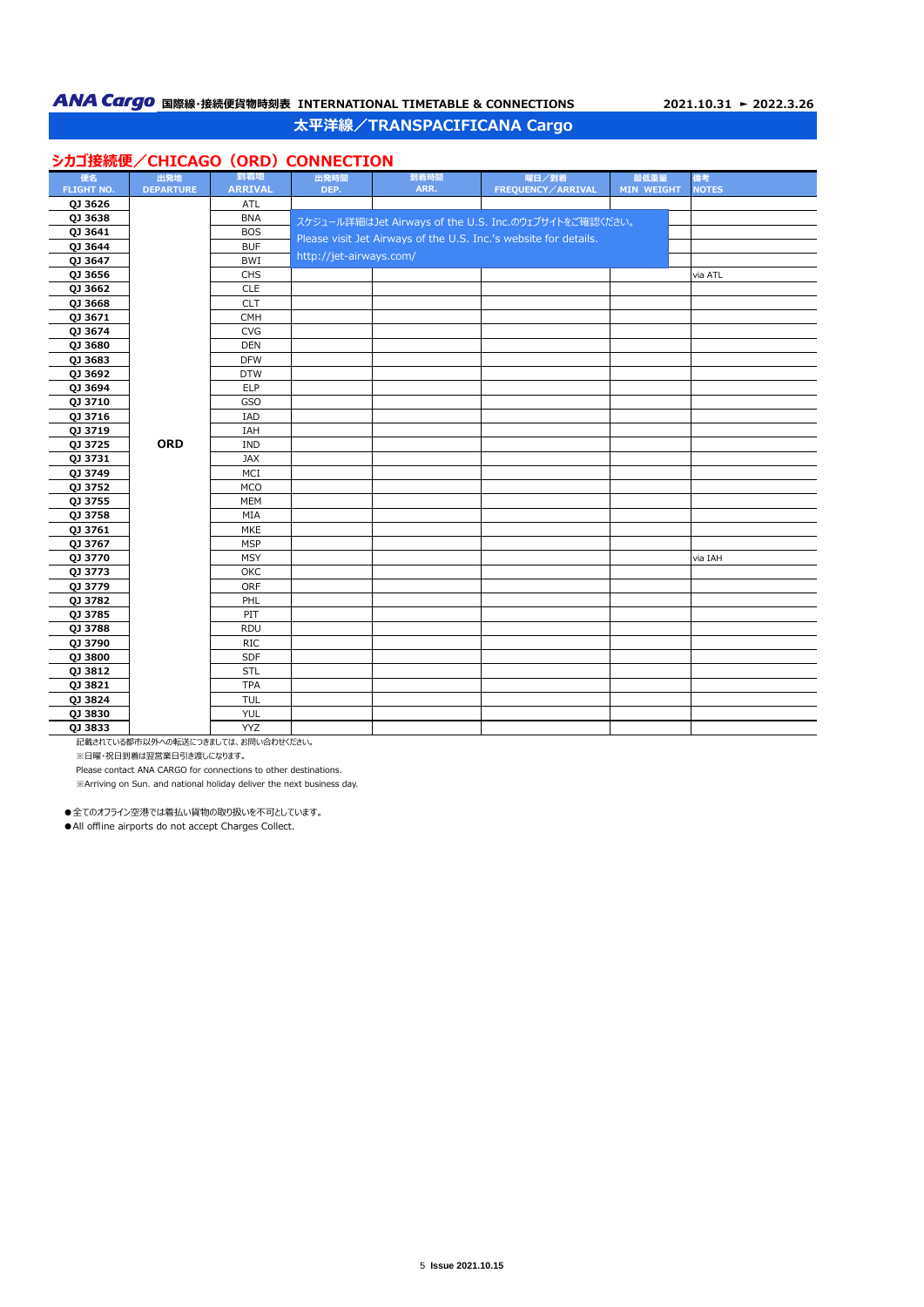## **太平洋線/TRANSPACIFICANA Cargo**

# **シカゴ接続便/CHICAGO (ORD) CONNECTION**

|                   |                  | 到着地                   |                         | 到着時間 |                                                                  |            |                    |
|-------------------|------------------|-----------------------|-------------------------|------|------------------------------------------------------------------|------------|--------------------|
| 便名                | 出発地              |                       | 出発時間<br>DEP.            | ARR. | 曜日/到着                                                            | 最低重量       | 備考<br><b>NOTES</b> |
| <b>FLIGHT NO.</b> | <b>DEPARTURE</b> | <b>ARRIVAL</b><br>ATL |                         |      | FREQUENCY/ARRIVAL                                                | MIN WEIGHT |                    |
| QJ 3626           |                  | <b>BNA</b>            |                         |      |                                                                  |            |                    |
| QJ 3638           |                  | <b>BOS</b>            |                         |      | スケジュール詳細はJet Airways of the U.S. Inc.のウェブサイトをご確認ください。            |            |                    |
| QJ 3641           |                  | <b>BUF</b>            |                         |      | Please visit Jet Airways of the U.S. Inc.'s website for details. |            |                    |
| QJ 3644           |                  | <b>BWI</b>            | http://jet-airways.com/ |      |                                                                  |            |                    |
| QJ 3647           |                  |                       |                         |      |                                                                  |            |                    |
| QJ 3656           |                  | CHS                   |                         |      |                                                                  |            | via ATL            |
| QJ 3662           |                  | <b>CLE</b>            |                         |      |                                                                  |            |                    |
| QJ 3668           |                  | <b>CLT</b>            |                         |      |                                                                  |            |                    |
| QJ 3671           |                  | CMH                   |                         |      |                                                                  |            |                    |
| QJ 3674           |                  | <b>CVG</b>            |                         |      |                                                                  |            |                    |
| QJ 3680           |                  | <b>DEN</b>            |                         |      |                                                                  |            |                    |
| QJ 3683           |                  | <b>DFW</b>            |                         |      |                                                                  |            |                    |
| QJ 3692           |                  | <b>DTW</b>            |                         |      |                                                                  |            |                    |
| QJ 3694           |                  | <b>ELP</b>            |                         |      |                                                                  |            |                    |
| QJ 3710           |                  | GSO                   |                         |      |                                                                  |            |                    |
| QJ 3716           |                  | IAD                   |                         |      |                                                                  |            |                    |
| QJ 3719           |                  | IAH                   |                         |      |                                                                  |            |                    |
| QJ 3725           | <b>ORD</b>       | <b>IND</b>            |                         |      |                                                                  |            |                    |
| QJ 3731           |                  | JAX                   |                         |      |                                                                  |            |                    |
| QJ 3749           |                  | MCI                   |                         |      |                                                                  |            |                    |
| QJ 3752           |                  | <b>MCO</b>            |                         |      |                                                                  |            |                    |
| QJ 3755           |                  | <b>MEM</b>            |                         |      |                                                                  |            |                    |
| QJ 3758           |                  | MIA                   |                         |      |                                                                  |            |                    |
| QJ 3761           |                  | MKE                   |                         |      |                                                                  |            |                    |
| QJ 3767           |                  | <b>MSP</b>            |                         |      |                                                                  |            |                    |
| QJ 3770           |                  | <b>MSY</b>            |                         |      |                                                                  |            | via IAH            |
| QJ 3773           |                  | OKC                   |                         |      |                                                                  |            |                    |
| QJ 3779           |                  | ORF                   |                         |      |                                                                  |            |                    |
| QJ 3782           |                  | PHL                   |                         |      |                                                                  |            |                    |
| QJ 3785           |                  | PIT                   |                         |      |                                                                  |            |                    |
| QJ 3788           |                  | <b>RDU</b>            |                         |      |                                                                  |            |                    |
| QJ 3790           |                  | <b>RIC</b>            |                         |      |                                                                  |            |                    |
| QJ 3800           |                  | <b>SDF</b>            |                         |      |                                                                  |            |                    |
| QJ 3812           |                  | STL                   |                         |      |                                                                  |            |                    |
| QJ 3821           |                  | <b>TPA</b>            |                         |      |                                                                  |            |                    |
| QJ 3824           |                  | <b>TUL</b>            |                         |      |                                                                  |            |                    |
| QJ 3830           |                  | <b>YUL</b>            |                         |      |                                                                  |            |                    |
| QJ 3833           |                  | <b>YYZ</b>            |                         |      |                                                                  |            |                    |

<u>。<br>「記載されている都市以外への転送につきましては、お問い合わせください。</u>

※日曜・祝日到着は翌営業日引き渡しになります。

Please contact ANA CARGO for connections to other destinations. ※Arriving on Sun. and national holiday deliver the next business day.

●全てのオフライン空港では着払い貨物の取り扱いを不可としています。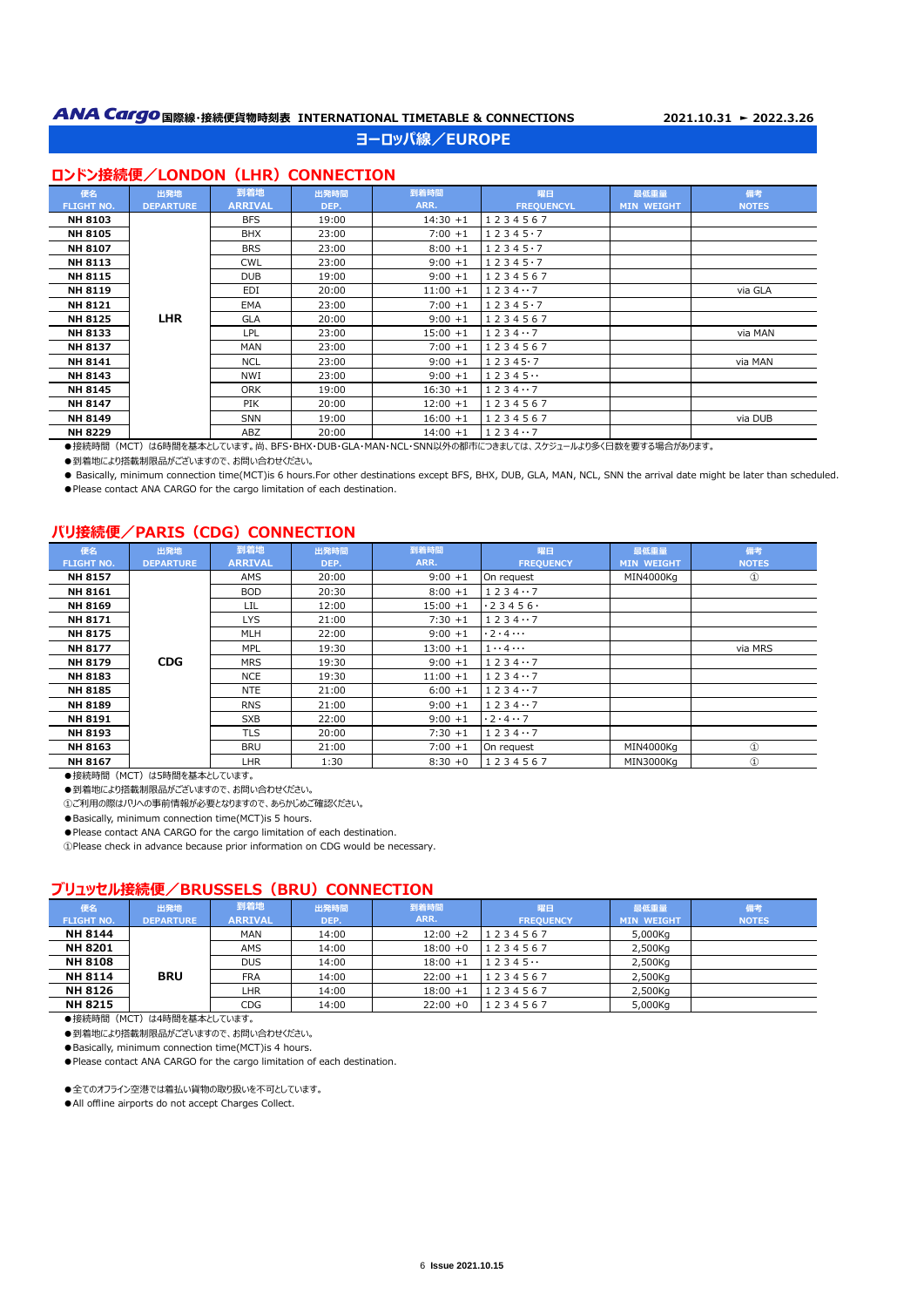## **ヨーロッパ線/EUROPE**

#### **ロンドン接続便/LONDON (LHR) CONNECTION**

| 便名                | 出発地              | 到着地            | 出発時間  | 到着時間        | 曜日                | 最低重量              | 備考           |
|-------------------|------------------|----------------|-------|-------------|-------------------|-------------------|--------------|
| <b>FLIGHT NO.</b> | <b>DEPARTURE</b> | <b>ARRIVAL</b> | DEP.  | ARR.        | <b>FREQUENCYL</b> | <b>MIN WEIGHT</b> | <b>NOTES</b> |
| <b>NH 8103</b>    |                  | <b>BFS</b>     | 19:00 | $14:30 + 1$ | 1234567           |                   |              |
| <b>NH 8105</b>    |                  | <b>BHX</b>     | 23:00 | $7:00 + 1$  | $12345 \cdot 7$   |                   |              |
| <b>NH 8107</b>    |                  | <b>BRS</b>     | 23:00 | $8:00 + 1$  | $12345 \cdot 7$   |                   |              |
| <b>NH 8113</b>    |                  | <b>CWL</b>     | 23:00 | $9:00 + 1$  | $12345 \cdot 7$   |                   |              |
| <b>NH 8115</b>    |                  | <b>DUB</b>     | 19:00 | $9:00 + 1$  | 1234567           |                   |              |
| <b>NH 8119</b>    |                  | EDI            | 20:00 | $11:00 + 1$ | 12347             |                   | via GLA      |
| <b>NH 8121</b>    |                  | EMA            | 23:00 | $7:00 + 1$  | $12345 \cdot 7$   |                   |              |
| <b>NH 8125</b>    | <b>LHR</b>       | <b>GLA</b>     | 20:00 | $9:00 + 1$  | 1234567           |                   |              |
| <b>NH 8133</b>    |                  | <b>LPL</b>     | 23:00 | $15:00 + 1$ | 12347             |                   | via MAN      |
| <b>NH 8137</b>    |                  | <b>MAN</b>     | 23:00 | $7:00 + 1$  | 1234567           |                   |              |
| <b>NH 8141</b>    |                  | <b>NCL</b>     | 23:00 | $9:00 + 1$  | $12345 \cdot 7$   |                   | via MAN      |
| <b>NH 8143</b>    |                  | NWI            | 23:00 | $9:00 + 1$  | 12345             |                   |              |
| <b>NH 8145</b>    |                  | <b>ORK</b>     | 19:00 | $16:30 + 1$ | 12347             |                   |              |
| <b>NH 8147</b>    |                  | <b>PIK</b>     | 20:00 | $12:00 + 1$ | 1234567           |                   |              |
| <b>NH 8149</b>    |                  | <b>SNN</b>     | 19:00 | $16:00 + 1$ | 1234567           |                   | via DUB      |
| <b>NH 8229</b>    |                  | ABZ            | 20:00 | $14:00 + 1$ | 12347             |                   |              |

●接続時間 (MCT) は6時間を基本としています。尚、BFS・BHX・DUB・GLA・MAN・NCL・SNN以外の都市につきましては、スケジュールより多く日数を要する場合があります。

●到着地により搭載制限品がございますので、お問い合わせください。

● Basically, minimum connection time(MCT)is 6 hours.For other destinations except BFS, BHX, DUB, GLA, MAN, NCL, SNN the arrival date might be later than scheduled. ● Please contact ANA CARGO for the cargo limitation of each destination.

## **パリ接続便/PARIS (CDG) CONNECTION**

| 便名                | 出発地              | 到着地            | 出発時間  | 到着時間        | 曜日                           | 最低重量              | 備考           |
|-------------------|------------------|----------------|-------|-------------|------------------------------|-------------------|--------------|
| <b>FLIGHT NO.</b> | <b>DEPARTURE</b> | <b>ARRIVAL</b> | DEP.  | ARR.        | <b>FREQUENCY</b>             | <b>MIN WEIGHT</b> | <b>NOTES</b> |
| <b>NH 8157</b>    |                  | AMS            | 20:00 | $9:00 + 1$  | On request                   | MIN4000Ka         | $^{\circ}$   |
| <b>NH 8161</b>    |                  | <b>BOD</b>     | 20:30 | $8:00 + 1$  | 12347                        |                   |              |
| <b>NH 8169</b>    |                  | LIL            | 12:00 | $15:00 + 1$ | .23456.                      |                   |              |
| <b>NH 8171</b>    |                  | <b>LYS</b>     | 21:00 | $7:30 + 1$  | 12347                        |                   |              |
| <b>NH 8175</b>    |                  | <b>MLH</b>     | 22:00 | $9:00 + 1$  | $\cdot$ 2 $\cdot$ 4 $\cdots$ |                   |              |
| <b>NH 8177</b>    |                  | <b>MPL</b>     | 19:30 | $13:00 + 1$ | $1 \cdots 4 \cdots$          |                   | via MRS      |
| <b>NH 8179</b>    | <b>CDG</b>       | <b>MRS</b>     | 19:30 | $9:00 + 1$  | 12347                        |                   |              |
| <b>NH 8183</b>    |                  | <b>NCE</b>     | 19:30 | $11:00 + 1$ | 12347                        |                   |              |
| <b>NH 8185</b>    |                  | <b>NTE</b>     | 21:00 | $6:00 + 1$  | 12347                        |                   |              |
| <b>NH 8189</b>    |                  | <b>RNS</b>     | 21:00 | $9:00 + 1$  | 12347                        |                   |              |
| <b>NH 8191</b>    |                  | <b>SXB</b>     | 22:00 | $9:00 + 1$  | .2.4.7                       |                   |              |
| <b>NH 8193</b>    |                  | <b>TLS</b>     | 20:00 | $7:30 + 1$  | 12347                        |                   |              |
| NH 8163           |                  | <b>BRU</b>     | 21:00 | $7:00 + 1$  | On request                   | MIN4000Kg         | $\mathbf{r}$ |
| <b>NH 8167</b>    |                  | <b>LHR</b>     | 1:30  | $8:30 + 0$  | 1234567                      | MIN3000Ka         | $\mathbf{r}$ |

●接続時間 (MCT) は5時間を基本としています。

●到着地により搭載制限品がございますので、お問い合わせください。

①ご利用の際はパリへの事前情報が必要となりますので、あらかじめご確認ください。

●Basically, minimum connection time(MCT)is 5 hours.

●Please contact ANA CARGO for the cargo limitation of each destination.

①Please check in advance because prior information on CDG would be necessary.

## **ブリュッセル接続便/BRUSSELS (BRU) CONNECTION**

| 便名                | 出発地              | 到着地            | 出発時間  | 到着時間        | 曜日               | 最低重量              | 備考           |
|-------------------|------------------|----------------|-------|-------------|------------------|-------------------|--------------|
| <b>FLIGHT NO.</b> | <b>DEPARTURE</b> | <b>ARRIVAL</b> | DEP.  | ARR.        | <b>FREQUENCY</b> | <b>MIN WEIGHT</b> | <b>NOTES</b> |
| <b>NH 8144</b>    |                  | MAN            | 14:00 | $12:00 + 2$ | 1234567          | 5,000Kg           |              |
| <b>NH 8201</b>    |                  | AMS            | 14:00 | $18:00 + 0$ | 1234567          | 2,500Kg           |              |
| <b>NH 8108</b>    |                  | <b>DUS</b>     | 14:00 | $18:00 + 1$ | 12345            | 2,500Kg           |              |
| <b>NH 8114</b>    | <b>BRU</b>       | <b>FRA</b>     | 14:00 | $22:00 + 1$ | 1234567          | 2,500Kg           |              |
| <b>NH 8126</b>    |                  | LHR            | 14:00 | $18:00 + 1$ | 1234567          | 2,500Kg           |              |
| <b>NH 8215</b>    |                  | CDG            | 14:00 | $22:00 + 0$ | 1234567          | 5,000Kg           |              |

●接続時間(MCT)は4時間を基本としています。

●到着地により搭載制限品がございますので、お問い合わせください。

●Basically, minimum connection time(MCT)is 4 hours.

●Please contact ANA CARGO for the cargo limitation of each destination.

●全てのオフライン空港では着払い貨物の取り扱いを不可としています。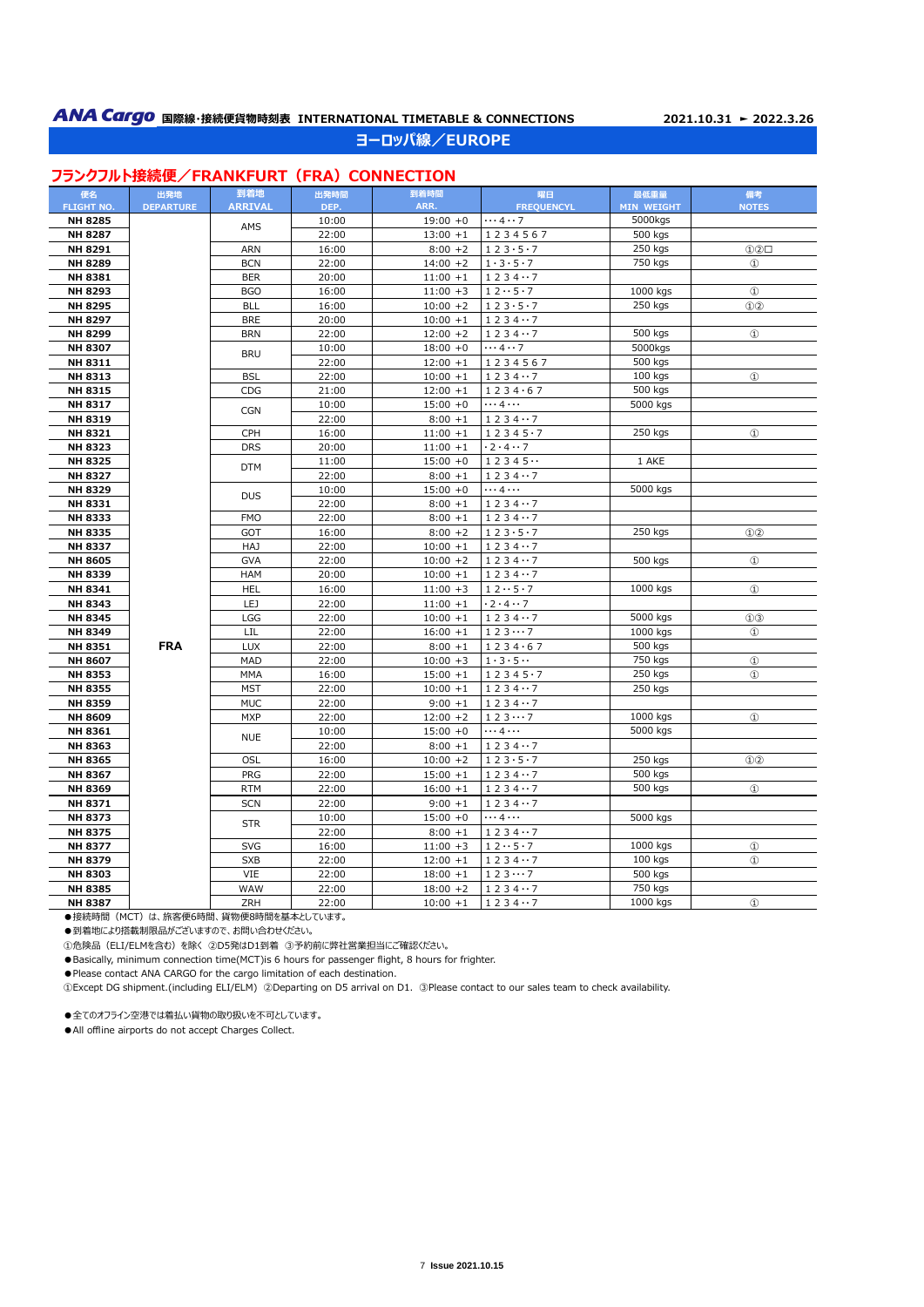# **ANA Cargo** 国際線·接続便貨物時刻表 INTERNATIONAL TIMETABLE & CONNECTIONS 2021.10.31 ► 2022.3.26 **ヨーロッパ線/EUROPE**

## **フランクフルト接続便/FRANKFURT (FRA) CONNECTION**

| 便名                | 出発地              | 到着地            | 出発時間  | 到着時間        | 曜日                            | 最低重量              | 備考                          |
|-------------------|------------------|----------------|-------|-------------|-------------------------------|-------------------|-----------------------------|
| <b>FLIGHT NO.</b> | <b>DEPARTURE</b> | <b>ARRIVAL</b> | DEP.  | ARR.        | <b>FREQUENCYL</b>             | <b>MIN WEIGHT</b> | <b>NOTES</b>                |
| <b>NH 8285</b>    |                  | AMS            | 10:00 | $19:00 + 0$ | $\cdots$ 4 $\cdots$ 7         | 5000kgs           |                             |
| <b>NH 8287</b>    |                  |                | 22:00 | $13:00 + 1$ | 1234567                       | 500 kgs           |                             |
| NH 8291           |                  | <b>ARN</b>     | 16:00 | $8:00 + 2$  | 123.5.7                       | 250 kgs           | ①②□                         |
| <b>NH 8289</b>    |                  | <b>BCN</b>     | 22:00 | $14:00 + 2$ | $1 \cdot 3 \cdot 5 \cdot 7$   | 750 kgs           | $\circled{1}$               |
| NH 8381           |                  | <b>BER</b>     | 20:00 | $11:00 + 1$ | 12347                         |                   |                             |
| NH 8293           |                  | <b>BGO</b>     | 16:00 | $11:00 + 3$ | $12 \cdot 5 \cdot 7$          | 1000 kgs          | $\circled{1}$               |
| NH 8295           |                  | <b>BLL</b>     | 16:00 | $10:00 + 2$ | 123.5.7                       | 250 kgs           | $\odot$ <sup>2</sup>        |
| <b>NH 8297</b>    |                  | <b>BRE</b>     | 20:00 | $10:00 + 1$ | 12347                         |                   |                             |
| NH 8299           |                  | <b>BRN</b>     | 22:00 | $12:00 + 2$ | 12347                         | 500 kgs           | $^{\circ}$                  |
| NH 8307           |                  | <b>BRU</b>     | 10:00 | $18:00 + 0$ | $\cdots$ 4 $\cdots$ 7         | 5000kgs           |                             |
| NH 8311           |                  |                | 22:00 | $12:00 + 1$ | 1234567                       | 500 kgs           |                             |
| NH 8313           |                  | <b>BSL</b>     | 22:00 | $10:00 + 1$ | 12347                         | 100 kgs           | $^{\circ}$                  |
| NH 8315           |                  | CDG            | 21:00 | $12:00 + 1$ | 1234.67                       | 500 kgs           |                             |
| NH 8317           |                  | <b>CGN</b>     | 10:00 | $15:00 + 0$ | $\cdots$ 4 $\cdots$           | 5000 kgs          |                             |
| NH 8319           |                  |                | 22:00 | $8:00 + 1$  | 12347                         |                   |                             |
| NH 8321           |                  | CPH            | 16:00 | $11:00 + 1$ | 12345.7                       | 250 kgs           | $^{\circ}$                  |
| <b>NH 8323</b>    |                  | <b>DRS</b>     | 20:00 | $11:00 + 1$ | $\cdot$ 2 $\cdot$ 4 $\cdot$ 7 |                   |                             |
| <b>NH 8325</b>    |                  | <b>DTM</b>     | 11:00 | $15:00 + 0$ | 12345                         | 1 AKE             |                             |
| <b>NH 8327</b>    |                  |                | 22:00 | $8:00 + 1$  | 12347                         |                   |                             |
| <b>NH 8329</b>    |                  | <b>DUS</b>     | 10:00 | $15:00 + 0$ | $\cdots$ 4 $\cdots$           | 5000 kgs          |                             |
| NH 8331           |                  |                | 22:00 | $8:00 + 1$  | 12347                         |                   |                             |
| <b>NH 8333</b>    |                  | <b>FMO</b>     | 22:00 | $8:00 + 1$  | 12347                         |                   |                             |
| NH 8335           |                  | GOT            | 16:00 | $8:00 + 2$  | 123.5.7                       | 250 kgs           | $\mathbb{O}(2)$             |
| <b>NH 8337</b>    |                  | HAJ            | 22:00 | $10:00 + 1$ | 12347                         |                   |                             |
| <b>NH 8605</b>    |                  | <b>GVA</b>     | 22:00 | $10:00 + 2$ | 12347                         | 500 kgs           | $^{\circ}$                  |
| <b>NH 8339</b>    |                  | <b>HAM</b>     | 20:00 | $10:00 + 1$ | 12347                         |                   |                             |
| NH 8341           |                  | <b>HEL</b>     | 16:00 | $11:00 + 3$ | $12 \cdot 5 \cdot 7$          | 1000 kgs          | $^{\circ}$                  |
| <b>NH 8343</b>    |                  | LEJ            | 22:00 | $11:00 + 1$ | $\cdot$ 2 $\cdot$ 4 $\cdot$ 7 |                   |                             |
| NH 8345           |                  | LGG            | 22:00 | $10:00 + 1$ | 12347                         | 5000 kgs          | $\odot$ $\odot$             |
| NH 8349           |                  | LIL            | 22:00 | $16:00 + 1$ | 1237                          | 1000 kgs          | $^{\circ}$                  |
| <b>NH 8351</b>    | <b>FRA</b>       | LUX            | 22:00 | $8:00 + 1$  | 1234.67                       | 500 kgs           |                             |
| <b>NH 8607</b>    |                  | MAD            | 22:00 | $10:00 + 3$ | $1 \cdot 3 \cdot 5 \cdots$    | 750 kgs           | $^{\circ}$                  |
| NH 8353           |                  | MMA            | 16:00 | $15:00 + 1$ | 12345.7                       | 250 kgs           | $^{\textcircled{\tiny 1}}$  |
| <b>NH 8355</b>    |                  | <b>MST</b>     | 22:00 | $10:00 + 1$ | 12347                         | 250 kgs           |                             |
| NH 8359           |                  | MUC            | 22:00 | $9:00 + 1$  | 12347                         |                   |                             |
| <b>NH 8609</b>    |                  | <b>MXP</b>     | 22:00 | $12:00 + 2$ | 1237                          | 1000 kgs          | $^{\circ}$                  |
| NH 8361           |                  | <b>NUE</b>     | 10:00 | $15:00 + 0$ | $\cdots$ 4 $\cdots$           | 5000 kgs          |                             |
| NH 8363           |                  |                | 22:00 | $8:00 + 1$  | 12347                         |                   |                             |
| NH 8365           |                  | OSL            | 16:00 | $10:00 + 2$ | 123.5.7                       | 250 kgs           | $\odot$ <sup>2</sup>        |
| NH 8367           |                  | PRG            | 22:00 | $15:00 + 1$ | 12347                         | 500 kgs           |                             |
| NH 8369           |                  | <b>RTM</b>     | 22:00 | $16:00 + 1$ | 12347                         | 500 kgs           | $^{\textcircled{\tiny{1}}}$ |
| NH 8371           |                  | <b>SCN</b>     | 22:00 | $9:00 + 1$  | 12347                         |                   |                             |
| <b>NH 8373</b>    |                  |                | 10:00 | $15:00 + 0$ | $\dots$ 4 $\dots$             | 5000 kgs          |                             |
| <b>NH 8375</b>    |                  | <b>STR</b>     | 22:00 | $8:00 + 1$  | 12347                         |                   |                             |
| <b>NH 8377</b>    |                  | <b>SVG</b>     | 16:00 | $11:00 + 3$ | 12.05.7                       | 1000 kgs          | $^{\circ}$                  |
| <b>NH 8379</b>    |                  | <b>SXB</b>     | 22:00 | $12:00 + 1$ | 12347                         | 100 kgs           | $\mathbf{D}$                |
| <b>NH 8303</b>    |                  | VIE            | 22:00 | $18:00 + 1$ | 1237                          | 500 kgs           |                             |
| <b>NH 8385</b>    |                  | WAW            | 22:00 | $18:00 + 2$ | 12347                         | 750 kgs           |                             |
| <b>NH 8387</b>    |                  | ZRH            | 22:00 | $10:00 + 1$ | 12347                         | 1000 kgs          | $\circled{1}$               |

●接続時間 (MCT) は、旅客便6時間、貨物便8時間を基本としています。

●到着地により搭載制限品がございますので、お問い合わせください。

①危険品(ELI/ELMを含む)を除く ②D5発はD1到着 ③予約前に弊社営業担当にご確認ください。

●Basically, minimum connection time(MCT)is 6 hours for passenger flight, 8 hours for frighter.

●Please contact ANA CARGO for the cargo limitation of each destination.

①Except DG shipment.(including ELI/ELM) ②Departing on D5 arrival on D1. ③Please contact to our sales team to check availability.

●全てのオフライン空港では着払い貨物の取り扱いを不可としています。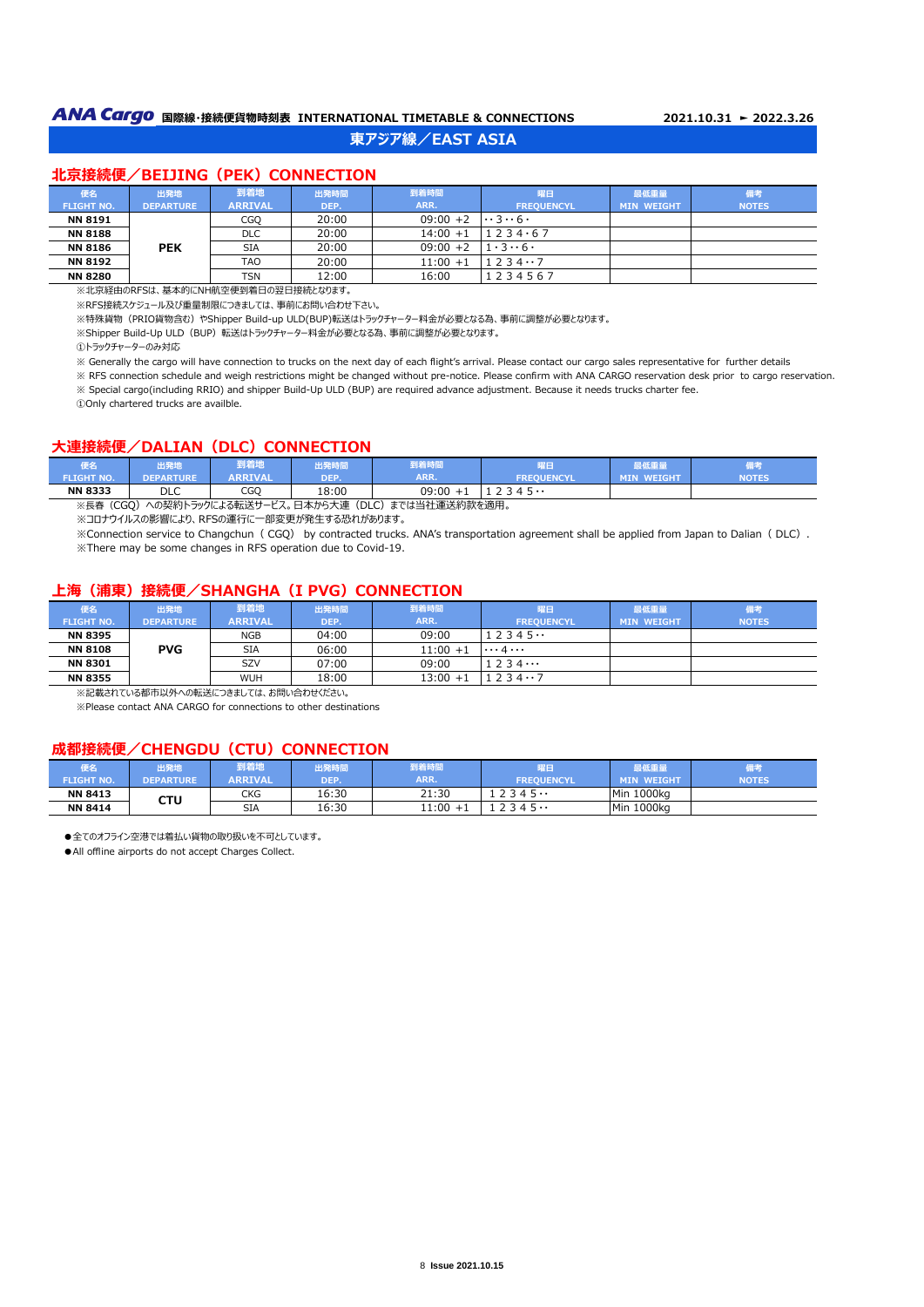# **ANA Cargo** 国際線・接続便貨物時刻表 INTERNATIONAL TIMETABLE & CONNECTIONS 2021.10.31 ► 2022.3.26

# **東アジア線/EAST ASIA**

#### **北京接続便/BEIJING (PEK) CONNECTION**

| 便名                | 出発地              | 到着地            | 出発時間  | 到着時間        | 曜日                             | 最低重量              | 備考           |
|-------------------|------------------|----------------|-------|-------------|--------------------------------|-------------------|--------------|
| <b>FLIGHT NO.</b> | <b>DEPARTURE</b> | <b>ARRIVAL</b> | DEP.  | ARR.        | <b>FREOUENCYL</b>              | <b>MIN WEIGHT</b> | <b>NOTES</b> |
| <b>NN 8191</b>    |                  | CGQ            | 20:00 | $09:00 + 2$ | $\cdots$ 3 $\cdots$ 6 $\cdots$ |                   |              |
| <b>NN 8188</b>    |                  | <b>DLC</b>     | 20:00 | $14:00 + 1$ | 1234.67                        |                   |              |
| <b>NN 8186</b>    | <b>PEK</b>       | <b>SIA</b>     | 20:00 | $09:00 + 2$ | $1.3 \cdot 6.$                 |                   |              |
| <b>NN 8192</b>    |                  | <b>TAO</b>     | 20:00 | $11:00 + 1$ | 1234.7                         |                   |              |
| <b>NN 8280</b>    |                  | <b>TSN</b>     | 12:00 | 16:00       | 1234567                        |                   |              |

※北京経由のRFSは、基本的にNH航空便到着日の翌日接続となります。

※RFS接続スケジュール及び重量制限につきましては、事前にお問い合わせ下さい。

※特殊貨物 (PRIO貨物含む) やShipper Build-up ULD(BUP)転送はトラックチャーター料金が必要となる為、事前に調整が必要となります。

※Shipper Build-Up ULD (BUP) 転送はトラックチャーター料金が必要となる為、事前に調整が必要となります。

①トラックチャーターのみ対応

÷

※ Generally the cargo will have connection to trucks on the next day of each flight's arrival. Please contact our cargo sales representative for further details

※ RFS connection schedule and weigh restrictions might be changed without pre-notice. Please confirm with ANA CARGO reservation desk prior to cargo reservation. ※ Special cargo(including RRIO) and shipper Build-Up ULD (BUP) are required advance adjustment. Because it needs trucks charter fee.

①Only chartered trucks are availble.

#### **大連接続便/DALIAN (DLC) CONNECTION**

| 便名                | 出発地              | 到着地            | 出発時間  | 到着時間  | $\mathbb{R}^n \rightarrow \mathbb{R}^n$<br>雅口 | 表低 里里                       | <b>Different Ave</b><br><b>All Britain</b> |
|-------------------|------------------|----------------|-------|-------|-----------------------------------------------|-----------------------------|--------------------------------------------|
| <b>FLIGHT NO.</b> | <b>DEPARTURE</b> | <b>ARRIVAL</b> | DEP.  | ARR.  | <b>FREOUENCYL</b>                             | <b>WEIGHT</b><br><b>MIN</b> | <b>NOTES</b>                               |
| <b>NN 8333</b>    | <b>DLC</b>       | CGO            | 18:00 | 09:00 | 7345<br><u>.</u>                              |                             |                                            |

※長春(CGQ)への契約トラックによる転送サービス。日本から大連(DLC)までは当社運送約款を適用。

※コロナウイルスの影響により、RFSの運行に一部変更が発生する恐れがあります。

※Connection service to Changchun( CGQ) by contracted trucks. ANA's transportation agreement shall be applied from Japan to Dalian( DLC). ※There may be some changes in RFS operation due to Covid-19.

#### **上海(浦東)接続便/SHANGHA(I PVG) CONNECTION**

| 便名                | 出発地              | 到着地        | 出発時間  | 到着時間        | 曜日                | 最低重量              | 備考           |
|-------------------|------------------|------------|-------|-------------|-------------------|-------------------|--------------|
| <b>FLIGHT NO.</b> | <b>DEPARTURE</b> | ARRIVAL    | DEP.  | ARR.        | <b>FREOUENCYL</b> | <b>MIN WEIGHT</b> | <b>NOTES</b> |
| <b>NN 8395</b>    |                  | NGB        | 04:00 | 09:00       | 2345              |                   |              |
| <b>NN 8108</b>    | <b>PVG</b>       | <b>SIA</b> | 06:00 | $11:00 + 1$ | $\cdots$ 4        |                   |              |
| <b>NN 8301</b>    |                  | SZV        | 07:00 | 09:00       | 234               |                   |              |
| <b>NN 8355</b>    |                  | WUH        | 18:00 | $13:00 + 1$ | 2347              |                   |              |

※記載されている都市以外への転送につきましては、お問い合わせください。

※Please contact ANA CARGO for connections to other destinations

#### **成都接続便/CHENGDU(CTU)CONNECTION**

| 更名<br><b>FLIGHT NO.</b> | 出発地<br>DEPARTURE | 到着地<br><b>ARRIVAL</b> | 出発時間<br>DEP. | 到着時間<br>ARR. | 瞿日<br><b>FREQUENCYL</b> | 最低重量<br><b>MIN WEIGHT</b> | 備考<br><b>NOTES</b> |
|-------------------------|------------------|-----------------------|--------------|--------------|-------------------------|---------------------------|--------------------|
| <b>NN 8413</b>          | стυ              | CKG                   | 16:30        | 21:30        | 7345                    | Min 1000kg                |                    |
| <b>NN 8414</b>          |                  | <b>SIA</b>            | 16:30        | 11:00        | ገ 3 4 5 <b></b>         | Min 1000kg                |                    |

●全てのオフライン空港では着払い貨物の取り扱いを不可としています。